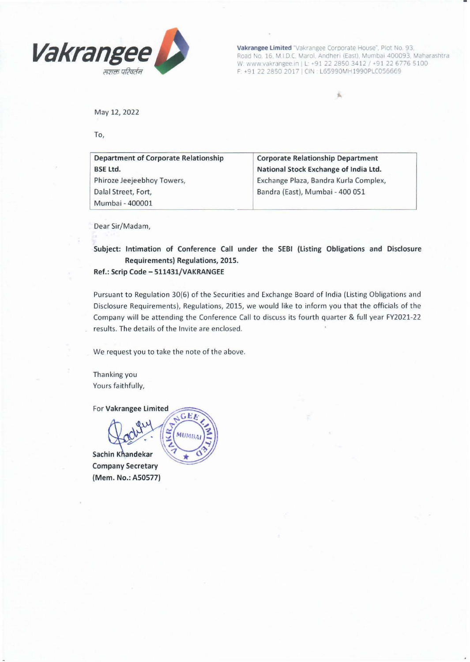

**Vakrangee Limited** "Vakrangee Corporate House", Plot No. 93, Road No. 16, M.I.D.C. Marol. Andheri (East). Mumbai 400093, Maharashtra W: www.vakrangee.in | L: +91 22 2850 3412 / +91 22 6776 5100 F: +91 22 2850 2017 | CIN : L65990MH1990PLC056669

..

May 12, 2022

To,

| <b>Department of Corporate Relationship</b> | <b>Corporate Relationship Department</b> |
|---------------------------------------------|------------------------------------------|
| <b>BSE Ltd.</b>                             | National Stock Exchange of India Ltd.    |
| Phiroze Jeejeebhoy Towers,                  | Exchange Plaza, Bandra Kurla Complex,    |
| Dalal Street, Fort,                         | Bandra (East), Mumbai - 400 051          |
| Mumbai - 400001                             |                                          |

Dear Sir/Madam,

Subject: Intimation of Conference Call under the SEBI (Listing Obligations and Disclosure Requirements) Regulations, 2015.

Ref.: Scrip Code - 511431/VAKRANGEE

Pursuant to Regulation 30(6) of the Securities and Exchange Board of India (Listing Obligations and Disclosure Requirements). Regulations, 2015, we would like to inform you that the officials of the Company will be attending the Conference Call to discuss its fourth quarter & full year FY2021-22 results. The details of the Invite are enclosed.

We request you to take the note of the above.

Thanking you Yours faithfully,

For Vakrangee Limited

GEE **MUMBA** 

Sachin Khandekar Company Secretary (Mem. No.: A50577)